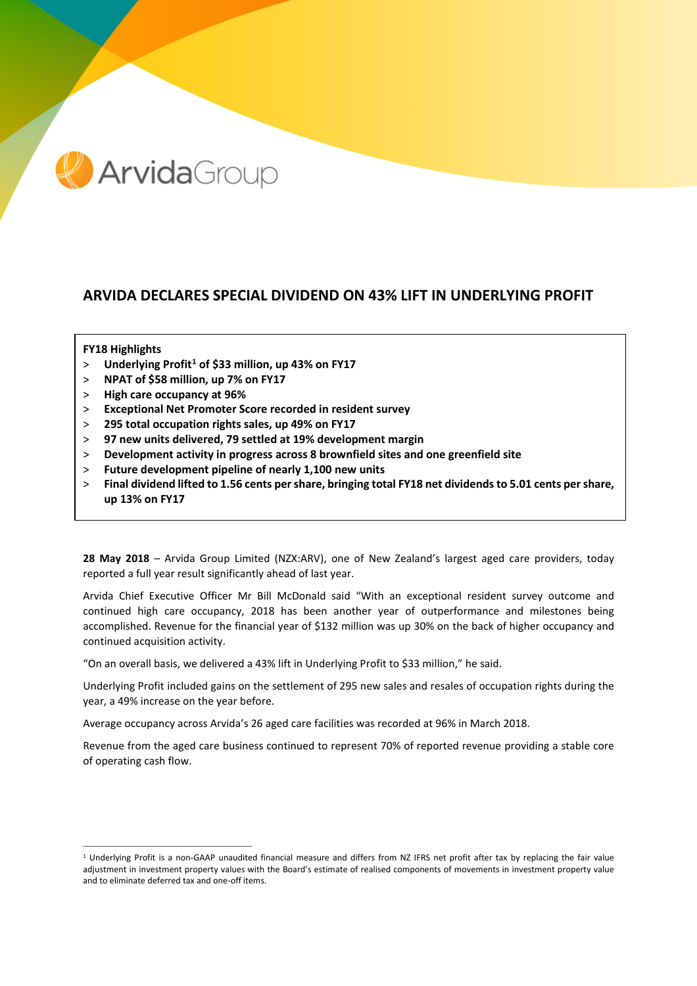

# **ARVIDA DECLARES SPECIAL DIVIDEND ON 43% LIFT IN UNDERLYING PROFIT**

### **FY18 Highlights**

- > **Underlying Profit[1](#page-0-0) of \$33 million, up 43% on FY17**
- > **NPAT of \$58 million, up 7% on FY17**
- > **High care occupancy at 96%**
- > **Exceptional Net Promoter Score recorded in resident survey**
- > **295 total occupation rights sales, up 49% on FY17**
- > **97 new units delivered, 79 settled at 19% development margin**
- > **Development activity in progress across 8 brownfield sites and one greenfield site**
- > **Future development pipeline of nearly 1,100 new units**
- > **Final dividend lifted to 1.56 cents per share, bringing total FY18 net dividends to 5.01 cents per share, up 13% on FY17**

**28 May 2018** – Arvida Group Limited (NZX:ARV), one of New Zealand's largest aged care providers, today reported a full year result significantly ahead of last year.

Arvida Chief Executive Officer Mr Bill McDonald said "With an exceptional resident survey outcome and continued high care occupancy, 2018 has been another year of outperformance and milestones being accomplished. Revenue for the financial year of \$132 million was up 30% on the back of higher occupancy and continued acquisition activity.

"On an overall basis, we delivered a 43% lift in Underlying Profit to \$33 million," he said.

Underlying Profit included gains on the settlement of 295 new sales and resales of occupation rights during the year, a 49% increase on the year before.

Average occupancy across Arvida's 26 aged care facilities was recorded at 96% in March 2018.

Revenue from the aged care business continued to represent 70% of reported revenue providing a stable core of operating cash flow.

<span id="page-0-0"></span><sup>&</sup>lt;sup>1</sup> Underlying Profit is a non-GAAP unaudited financial measure and differs from NZ IFRS net profit after tax by replacing the fair value adjustment in investment property values with the Board's estimate of realised components of movements in investment property value and to eliminate deferred tax and one-off items.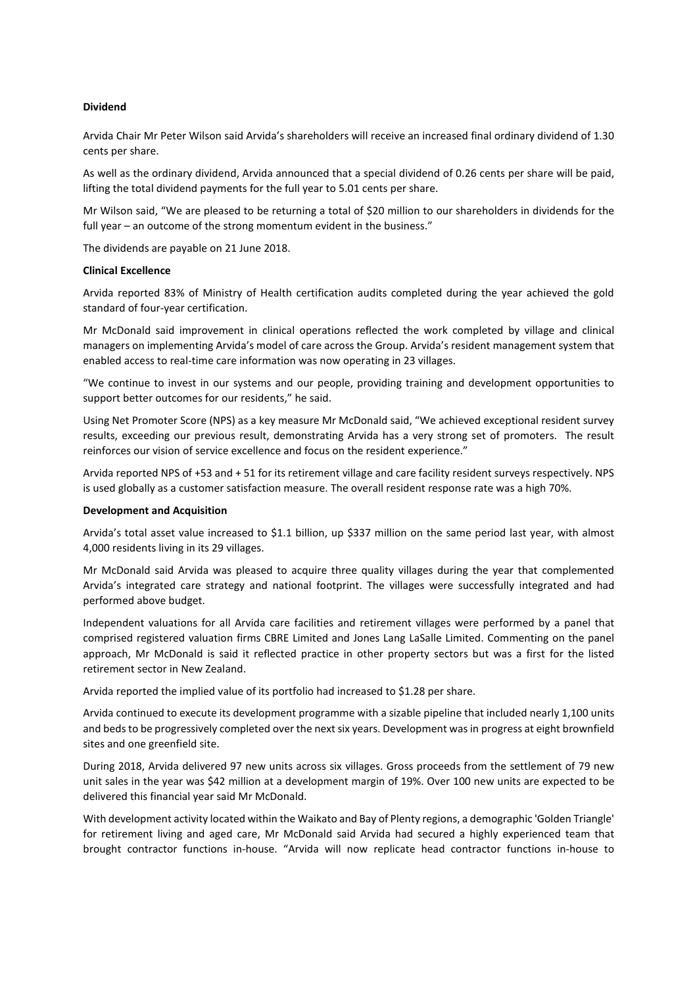### **Dividend**

Arvida Chair Mr Peter Wilson said Arvida's shareholders will receive an increased final ordinary dividend of 1.30 cents per share.

As well as the ordinary dividend, Arvida announced that a special dividend of 0.26 cents per share will be paid, lifting the total dividend payments for the full year to 5.01 cents per share.

Mr Wilson said, "We are pleased to be returning a total of \$20 million to our shareholders in dividends for the full year – an outcome of the strong momentum evident in the business."

The dividends are payable on 21 June 2018.

#### **Clinical Excellence**

Arvida reported 83% of Ministry of Health certification audits completed during the year achieved the gold standard of four-year certification.

Mr McDonald said improvement in clinical operations reflected the work completed by village and clinical managers on implementing Arvida's model of care across the Group. Arvida's resident management system that enabled access to real-time care information was now operating in 23 villages.

"We continue to invest in our systems and our people, providing training and development opportunities to support better outcomes for our residents," he said.

Using Net Promoter Score (NPS) as a key measure Mr McDonald said, "We achieved exceptional resident survey results, exceeding our previous result, demonstrating Arvida has a very strong set of promoters. The result reinforces our vision of service excellence and focus on the resident experience."

Arvida reported NPS of +53 and + 51 for its retirement village and care facility resident surveys respectively. NPS is used globally as a customer satisfaction measure. The overall resident response rate was a high 70%.

### **Development and Acquisition**

Arvida's total asset value increased to \$1.1 billion, up \$337 million on the same period last year, with almost 4,000 residents living in its 29 villages.

Mr McDonald said Arvida was pleased to acquire three quality villages during the year that complemented Arvida's integrated care strategy and national footprint. The villages were successfully integrated and had performed above budget.

Independent valuations for all Arvida care facilities and retirement villages were performed by a panel that comprised registered valuation firms CBRE Limited and Jones Lang LaSalle Limited. Commenting on the panel approach, Mr McDonald is said it reflected practice in other property sectors but was a first for the listed retirement sector in New Zealand.

Arvida reported the implied value of its portfolio had increased to \$1.28 per share.

Arvida continued to execute its development programme with a sizable pipeline that included nearly 1,100 units and beds to be progressively completed over the next six years. Development was in progress at eight brownfield sites and one greenfield site.

During 2018, Arvida delivered 97 new units across six villages. Gross proceeds from the settlement of 79 new unit sales in the year was \$42 million at a development margin of 19%. Over 100 new units are expected to be delivered this financial year said Mr McDonald.

With development activity located within the Waikato and Bay of Plenty regions, a demographic 'Golden Triangle' for retirement living and aged care, Mr McDonald said Arvida had secured a highly experienced team that brought contractor functions in-house. "Arvida will now replicate head contractor functions in-house to